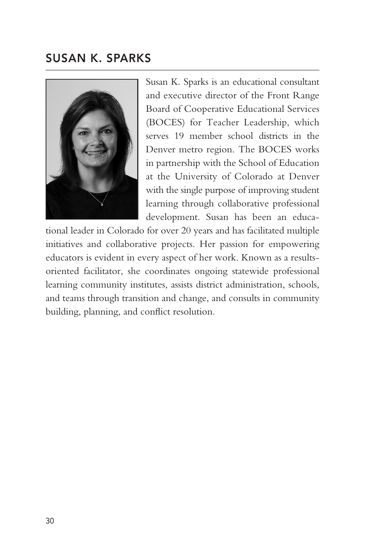# SUSAN K. SPARKS



Susan K. Sparks is an educational consultant and executive director of the Front Range Board of Cooperative Educational Services (BOCES) for Teacher Leadership, which serves 19 member school districts in the Denver metro region. The BOCES works in partnership with the School of Education at the University of Colorado at Denver with the single purpose of improving student learning through collaborative professional development. Susan has been an educa-

tional leader in Colorado for over 20 years and has facilitated multiple initiatives and collaborative projects. Her passion for empowering educators is evident in every aspect of her work. Known as a resultsoriented facilitator, she coordinates ongoing statewide professional learning community institutes, assists district administration, schools, and teams through transition and change, and consults in community building, planning, and conflict resolution.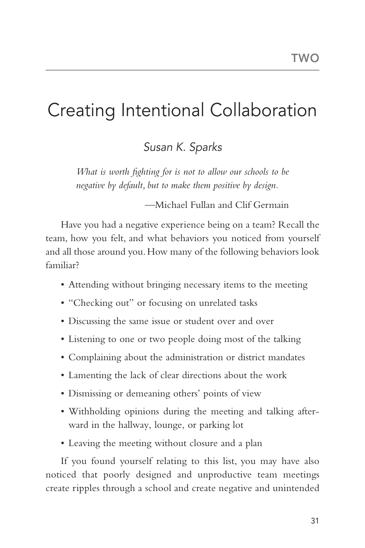# Creating Intentional Collaboration

# *Susan K. Sparks*

*What is worth fighting for is not to allow our schools to be negative by default, but to make them positive by design.*

—Michael Fullan and Clif Germain

Have you had a negative experience being on a team? Recall the team, how you felt, and what behaviors you noticed from yourself and all those around you. How many of the following behaviors look familiar?

- Attending without bringing necessary items to the meeting
- "Checking out" or focusing on unrelated tasks
- Discussing the same issue or student over and over
- Listening to one or two people doing most of the talking
- Complaining about the administration or district mandates
- Lamenting the lack of clear directions about the work
- Dismissing or demeaning others' points of view
- Withholding opinions during the meeting and talking afterward in the hallway, lounge, or parking lot
- Leaving the meeting without closure and a plan

If you found yourself relating to this list, you may have also noticed that poorly designed and unproductive team meetings create ripples through a school and create negative and unintended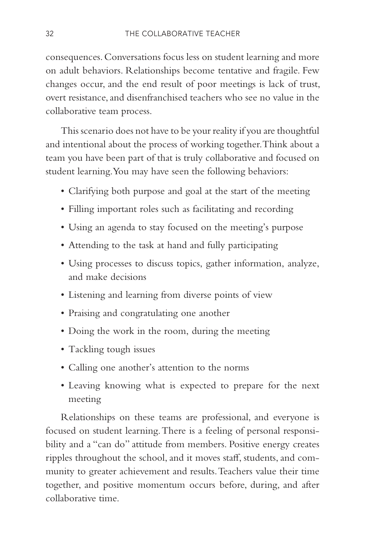consequences. Conversations focus less on student learning and more on adult behaviors. Relationships become tentative and fragile. Few changes occur, and the end result of poor meetings is lack of trust, overt resistance, and disenfranchised teachers who see no value in the collaborative team process.

This scenario does not have to be your reality if you are thoughtful and intentional about the process of working together. Think about a team you have been part of that is truly collaborative and focused on student learning. You may have seen the following behaviors:

- Clarifying both purpose and goal at the start of the meeting
- Filling important roles such as facilitating and recording
- Using an agenda to stay focused on the meeting's purpose
- Attending to the task at hand and fully participating
- Using processes to discuss topics, gather information, analyze, and make decisions
- Listening and learning from diverse points of view
- Praising and congratulating one another
- Doing the work in the room, during the meeting
- Tackling tough issues
- Calling one another's attention to the norms
- Leaving knowing what is expected to prepare for the next meeting

Relationships on these teams are professional, and everyone is focused on student learning. There is a feeling of personal responsibility and a "can do" attitude from members. Positive energy creates ripples throughout the school, and it moves staff, students, and community to greater achievement and results. Teachers value their time together, and positive momentum occurs before, during, and after collaborative time.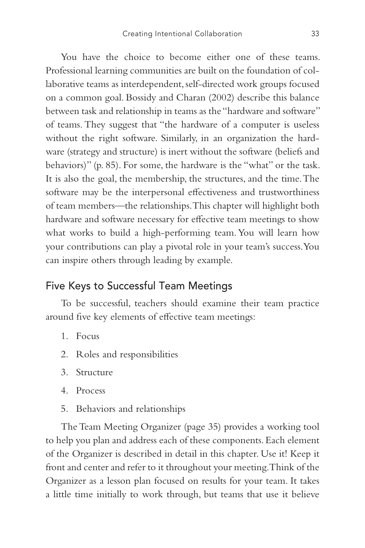You have the choice to become either one of these teams. Professional learning communities are built on the foundation of collaborative teams as interdependent, self-directed work groups focused on a common goal. Bossidy and Charan (2002) describe this balance between task and relationship in teams as the "hardware and software" of teams. They suggest that "the hardware of a computer is useless without the right software. Similarly, in an organization the hardware (strategy and structure) is inert without the software (beliefs and behaviors)" (p. 85). For some, the hardware is the "what" or the task. It is also the goal, the membership, the structures, and the time. The software may be the interpersonal effectiveness and trustworthiness of team members—the relationships. This chapter will highlight both hardware and software necessary for effective team meetings to show what works to build a high-performing team. You will learn how your contributions can play a pivotal role in your team's success. You can inspire others through leading by example.

# Five Keys to Successful Team Meetings

To be successful, teachers should examine their team practice around five key elements of effective team meetings:

- 1. Focus
- 2. Roles and responsibilities
- 3. Structure
- 4. Process
- 5. Behaviors and relationships

The Team Meeting Organizer (page 35) provides a working tool to help you plan and address each of these components. Each element of the Organizer is described in detail in this chapter. Use it! Keep it front and center and refer to it throughout your meeting. Think of the Organizer as a lesson plan focused on results for your team. It takes a little time initially to work through, but teams that use it believe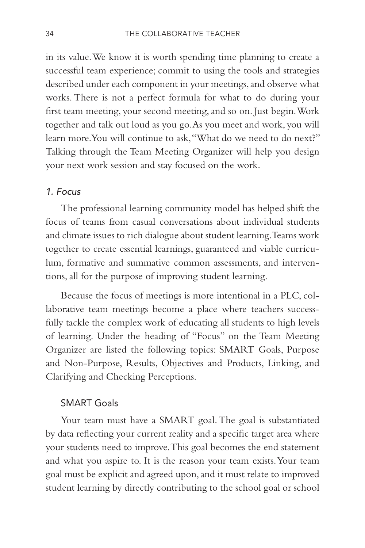in its value. We know it is worth spending time planning to create a successful team experience; commit to using the tools and strategies described under each component in your meetings, and observe what works. There is not a perfect formula for what to do during your first team meeting, your second meeting, and so on. Just begin. Work together and talk out loud as you go. As you meet and work, you will learn more. You will continue to ask, "What do we need to do next?" Talking through the Team Meeting Organizer will help you design your next work session and stay focused on the work.

#### *1. Focus*

The professional learning community model has helped shift the focus of teams from casual conversations about individual students and climate issues to rich dialogue about student learning. Teams work together to create essential learnings, guaranteed and viable curriculum, formative and summative common assessments, and interventions, all for the purpose of improving student learning.

Because the focus of meetings is more intentional in a PLC, collaborative team meetings become a place where teachers successfully tackle the complex work of educating all students to high levels of learning. Under the heading of "Focus" on the Team Meeting Organizer are listed the following topics: SMART Goals, Purpose and Non-Purpose, Results, Objectives and Products, Linking, and Clarifying and Checking Perceptions.

#### SMART Goals

Your team must have a SMART goal. The goal is substantiated by data reflecting your current reality and a specific target area where your students need to improve. This goal becomes the end statement and what you aspire to. It is the reason your team exists. Your team goal must be explicit and agreed upon, and it must relate to improved student learning by directly contributing to the school goal or school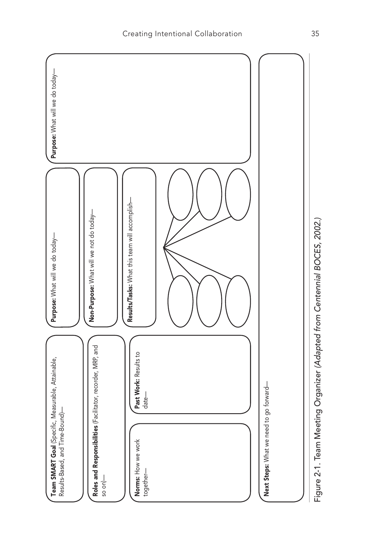

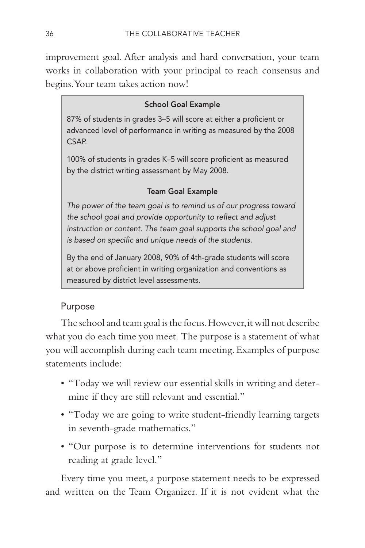improvement goal. After analysis and hard conversation, your team works in collaboration with your principal to reach consensus and begins. Your team takes action now!

# School Goal Example

87% of students in grades 3–5 will score at either a proficient or advanced level of performance in writing as measured by the 2008 CSAP.

100% of students in grades K–5 will score proficient as measured by the district writing assessment by May 2008.

#### Team Goal Example

*The power of the team goal is to remind us of our progress toward the school goal and provide opportunity to reflect and adjust instruction or content. The team goal supports the school goal and is based on specific and unique needs of the students.*

By the end of January 2008, 90% of 4th-grade students will score at or above proficient in writing organization and conventions as measured by district level assessments.

# Purpose

The school and team goal is the focus. However, it will not describe what you do each time you meet. The purpose is a statement of what you will accomplish during each team meeting. Examples of purpose statements include:

- "Today we will review our essential skills in writing and determine if they are still relevant and essential."
- "Today we are going to write student-friendly learning targets in seventh-grade mathematics."
- "Our purpose is to determine interventions for students not reading at grade level."

Every time you meet, a purpose statement needs to be expressed and written on the Team Organizer. If it is not evident what the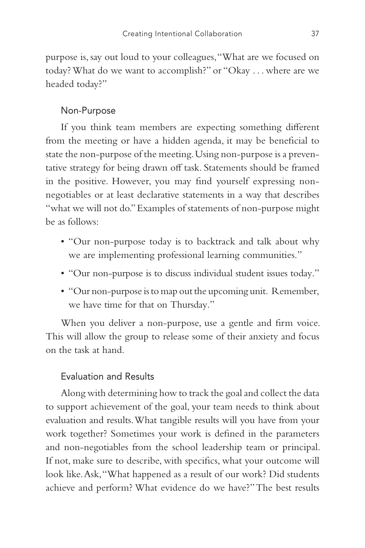purpose is, say out loud to your colleagues, "What are we focused on today? What do we want to accomplish?" or "Okay . . . where are we headed today?"

# Non-Purpose

If you think team members are expecting something different from the meeting or have a hidden agenda, it may be beneficial to state the non-purpose of the meeting. Using non-purpose is a preventative strategy for being drawn off task. Statements should be framed in the positive. However, you may find yourself expressing nonnegotiables or at least declarative statements in a way that describes "what we will not do." Examples of statements of non-purpose might be as follows:

- "Our non-purpose today is to backtrack and talk about why we are implementing professional learning communities."
- "Our non-purpose is to discuss individual student issues today."
- "Our non-purpose is to map out the upcoming unit. Remember, we have time for that on Thursday."

When you deliver a non-purpose, use a gentle and firm voice. This will allow the group to release some of their anxiety and focus on the task at hand.

# Evaluation and Results

Along with determining how to track the goal and collect the data to support achievement of the goal, your team needs to think about evaluation and results. What tangible results will you have from your work together? Sometimes your work is defined in the parameters and non-negotiables from the school leadership team or principal. If not, make sure to describe, with specifics, what your outcome will look like. Ask, "What happened as a result of our work? Did students achieve and perform? What evidence do we have?" The best results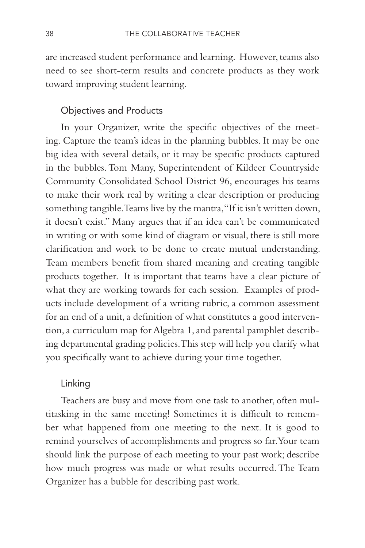are increased student performance and learning. However, teams also need to see short-term results and concrete products as they work toward improving student learning.

# Objectives and Products

In your Organizer, write the specific objectives of the meeting. Capture the team's ideas in the planning bubbles. It may be one big idea with several details, or it may be specific products captured in the bubbles. Tom Many, Superintendent of Kildeer Countryside Community Consolidated School District 96, encourages his teams to make their work real by writing a clear description or producing something tangible. Teams live by the mantra, "If it isn't written down, it doesn't exist." Many argues that if an idea can't be communicated in writing or with some kind of diagram or visual, there is still more clarification and work to be done to create mutual understanding. Team members benefit from shared meaning and creating tangible products together. It is important that teams have a clear picture of what they are working towards for each session. Examples of products include development of a writing rubric, a common assessment for an end of a unit, a definition of what constitutes a good intervention, a curriculum map for Algebra 1, and parental pamphlet describing departmental grading policies. This step will help you clarify what you specifically want to achieve during your time together.

#### Linking

Teachers are busy and move from one task to another, often multitasking in the same meeting! Sometimes it is difficult to remember what happened from one meeting to the next. It is good to remind yourselves of accomplishments and progress so far. Your team should link the purpose of each meeting to your past work; describe how much progress was made or what results occurred. The Team Organizer has a bubble for describing past work.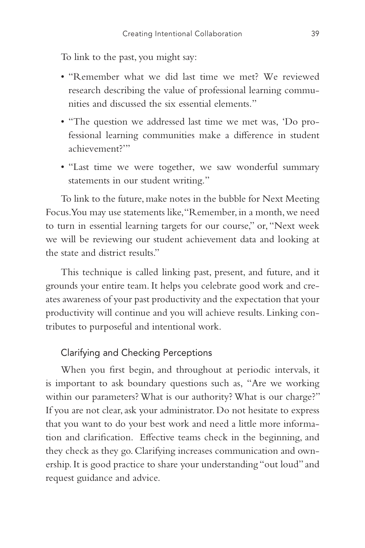To link to the past, you might say:

- "Remember what we did last time we met? We reviewed research describing the value of professional learning communities and discussed the six essential elements."
- "The question we addressed last time we met was, 'Do professional learning communities make a difference in student achievement?'"
- "Last time we were together, we saw wonderful summary statements in our student writing."

To link to the future, make notes in the bubble for Next Meeting Focus. You may use statements like, "Remember, in a month, we need to turn in essential learning targets for our course," or, "Next week we will be reviewing our student achievement data and looking at the state and district results."

This technique is called linking past, present, and future, and it grounds your entire team. It helps you celebrate good work and creates awareness of your past productivity and the expectation that your productivity will continue and you will achieve results. Linking contributes to purposeful and intentional work.

#### Clarifying and Checking Perceptions

When you first begin, and throughout at periodic intervals, it is important to ask boundary questions such as, "Are we working within our parameters? What is our authority? What is our charge?" If you are not clear, ask your administrator. Do not hesitate to express that you want to do your best work and need a little more information and clarification. Effective teams check in the beginning, and they check as they go. Clarifying increases communication and ownership. It is good practice to share your understanding "out loud" and request guidance and advice.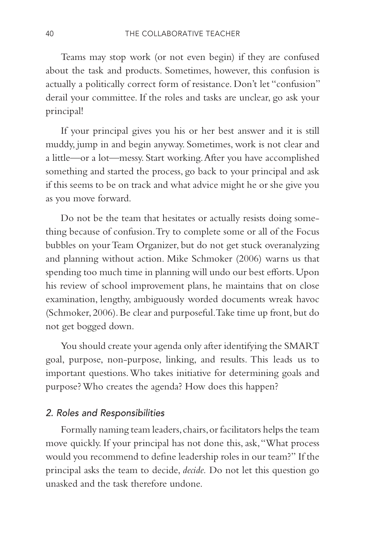Teams may stop work (or not even begin) if they are confused about the task and products. Sometimes, however, this confusion is actually a politically correct form of resistance. Don't let "confusion" derail your committee. If the roles and tasks are unclear, go ask your principal!

If your principal gives you his or her best answer and it is still muddy, jump in and begin anyway. Sometimes, work is not clear and a little—or a lot—messy. Start working. After you have accomplished something and started the process, go back to your principal and ask if this seems to be on track and what advice might he or she give you as you move forward.

Do not be the team that hesitates or actually resists doing something because of confusion. Try to complete some or all of the Focus bubbles on your Team Organizer, but do not get stuck overanalyzing and planning without action. Mike Schmoker (2006) warns us that spending too much time in planning will undo our best efforts. Upon his review of school improvement plans, he maintains that on close examination, lengthy, ambiguously worded documents wreak havoc (Schmoker, 2006). Be clear and purposeful. Take time up front, but do not get bogged down.

You should create your agenda only after identifying the SMART goal, purpose, non-purpose, linking, and results. This leads us to important questions. Who takes initiative for determining goals and purpose? Who creates the agenda? How does this happen?

#### *2. Roles and Responsibilities*

Formally naming team leaders, chairs, or facilitators helps the team move quickly. If your principal has not done this, ask, "What process would you recommend to define leadership roles in our team?" If the principal asks the team to decide, *decide.* Do not let this question go unasked and the task therefore undone.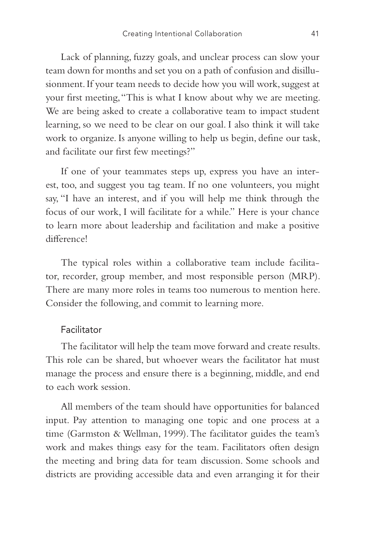Lack of planning, fuzzy goals, and unclear process can slow your team down for months and set you on a path of confusion and disillusionment. If your team needs to decide how you will work, suggest at your first meeting, "This is what I know about why we are meeting. We are being asked to create a collaborative team to impact student learning, so we need to be clear on our goal. I also think it will take work to organize. Is anyone willing to help us begin, define our task, and facilitate our first few meetings?"

If one of your teammates steps up, express you have an interest, too, and suggest you tag team. If no one volunteers, you might say, "I have an interest, and if you will help me think through the focus of our work, I will facilitate for a while." Here is your chance to learn more about leadership and facilitation and make a positive difference!

The typical roles within a collaborative team include facilitator, recorder, group member, and most responsible person (MRP). There are many more roles in teams too numerous to mention here. Consider the following, and commit to learning more.

#### Facilitator

The facilitator will help the team move forward and create results. This role can be shared, but whoever wears the facilitator hat must manage the process and ensure there is a beginning, middle, and end to each work session.

All members of the team should have opportunities for balanced input. Pay attention to managing one topic and one process at a time (Garmston & Wellman, 1999). The facilitator guides the team's work and makes things easy for the team. Facilitators often design the meeting and bring data for team discussion. Some schools and districts are providing accessible data and even arranging it for their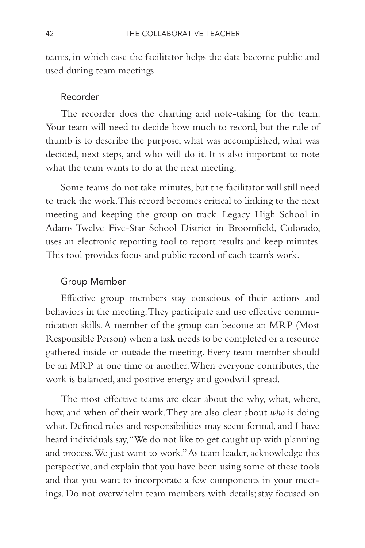teams, in which case the facilitator helps the data become public and used during team meetings.

# Recorder

The recorder does the charting and note-taking for the team. Your team will need to decide how much to record, but the rule of thumb is to describe the purpose, what was accomplished, what was decided, next steps, and who will do it. It is also important to note what the team wants to do at the next meeting.

Some teams do not take minutes, but the facilitator will still need to track the work. This record becomes critical to linking to the next meeting and keeping the group on track. Legacy High School in Adams Twelve Five-Star School District in Broomfield, Colorado, uses an electronic reporting tool to report results and keep minutes. This tool provides focus and public record of each team's work.

#### Group Member

Effective group members stay conscious of their actions and behaviors in the meeting. They participate and use effective communication skills. A member of the group can become an MRP (Most Responsible Person) when a task needs to be completed or a resource gathered inside or outside the meeting. Every team member should be an MRP at one time or another. When everyone contributes, the work is balanced, and positive energy and goodwill spread.

The most effective teams are clear about the why, what, where, how, and when of their work. They are also clear about *who* is doing what. Defined roles and responsibilities may seem formal, and I have heard individuals say, "We do not like to get caught up with planning and process. We just want to work." As team leader, acknowledge this perspective, and explain that you have been using some of these tools and that you want to incorporate a few components in your meetings. Do not overwhelm team members with details; stay focused on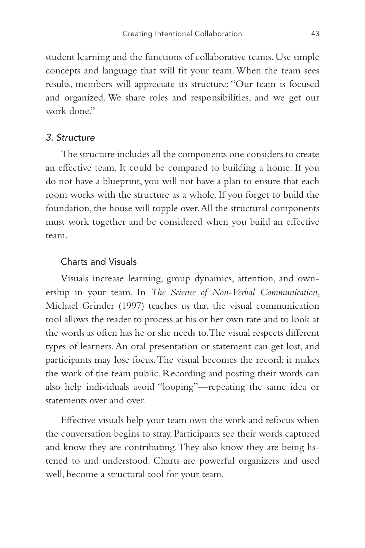student learning and the functions of collaborative teams. Use simple concepts and language that will fit your team. When the team sees results, members will appreciate its structure: "Our team is focused and organized. We share roles and responsibilities, and we get our work done."

# *3. Structure*

The structure includes all the components one considers to create an effective team. It could be compared to building a home: If you do not have a blueprint, you will not have a plan to ensure that each room works with the structure as a whole. If you forget to build the foundation, the house will topple over. All the structural components must work together and be considered when you build an effective team.

#### Charts and Visuals

Visuals increase learning, group dynamics, attention, and ownership in your team. In *The Science of Non-Verbal Communication,*  Michael Grinder (1997) teaches us that the visual communication tool allows the reader to process at his or her own rate and to look at the words as often has he or she needs to. The visual respects different types of learners. An oral presentation or statement can get lost, and participants may lose focus. The visual becomes the record; it makes the work of the team public. Recording and posting their words can also help individuals avoid "looping"—repeating the same idea or statements over and over.

Effective visuals help your team own the work and refocus when the conversation begins to stray. Participants see their words captured and know they are contributing. They also know they are being listened to and understood. Charts are powerful organizers and used well, become a structural tool for your team.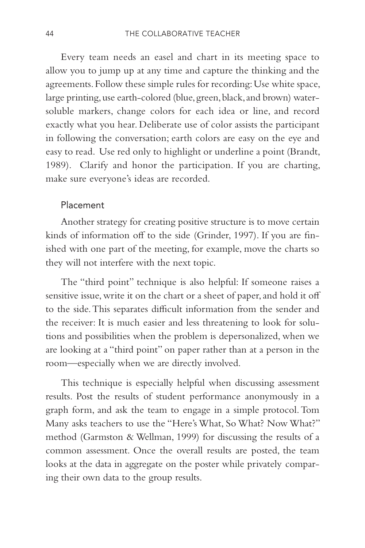Every team needs an easel and chart in its meeting space to allow you to jump up at any time and capture the thinking and the agreements. Follow these simple rules for recording: Use white space, large printing, use earth-colored (blue, green, black, and brown) watersoluble markers, change colors for each idea or line, and record exactly what you hear. Deliberate use of color assists the participant in following the conversation; earth colors are easy on the eye and easy to read. Use red only to highlight or underline a point (Brandt, 1989). Clarify and honor the participation. If you are charting, make sure everyone's ideas are recorded.

#### Placement

Another strategy for creating positive structure is to move certain kinds of information off to the side (Grinder, 1997). If you are finished with one part of the meeting, for example, move the charts so they will not interfere with the next topic.

The "third point" technique is also helpful: If someone raises a sensitive issue, write it on the chart or a sheet of paper, and hold it off to the side. This separates difficult information from the sender and the receiver: It is much easier and less threatening to look for solutions and possibilities when the problem is depersonalized, when we are looking at a "third point" on paper rather than at a person in the room—especially when we are directly involved.

This technique is especially helpful when discussing assessment results. Post the results of student performance anonymously in a graph form, and ask the team to engage in a simple protocol. Tom Many asks teachers to use the "Here's What, So What? Now What?" method (Garmston & Wellman, 1999) for discussing the results of a common assessment. Once the overall results are posted, the team looks at the data in aggregate on the poster while privately comparing their own data to the group results.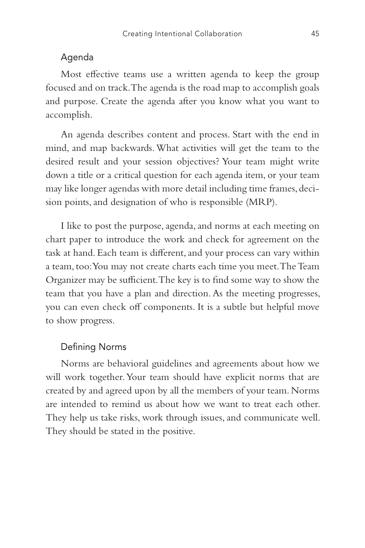#### Agenda

Most effective teams use a written agenda to keep the group focused and on track. The agenda is the road map to accomplish goals and purpose. Create the agenda after you know what you want to accomplish.

An agenda describes content and process. Start with the end in mind, and map backwards. What activities will get the team to the desired result and your session objectives? Your team might write down a title or a critical question for each agenda item, or your team may like longer agendas with more detail including time frames, decision points, and designation of who is responsible (MRP).

I like to post the purpose, agenda, and norms at each meeting on chart paper to introduce the work and check for agreement on the task at hand. Each team is different, and your process can vary within a team, too: You may not create charts each time you meet. The Team Organizer may be sufficient. The key is to find some way to show the team that you have a plan and direction. As the meeting progresses, you can even check off components. It is a subtle but helpful move to show progress.

#### Defining Norms

Norms are behavioral guidelines and agreements about how we will work together. Your team should have explicit norms that are created by and agreed upon by all the members of your team. Norms are intended to remind us about how we want to treat each other. They help us take risks, work through issues, and communicate well. They should be stated in the positive.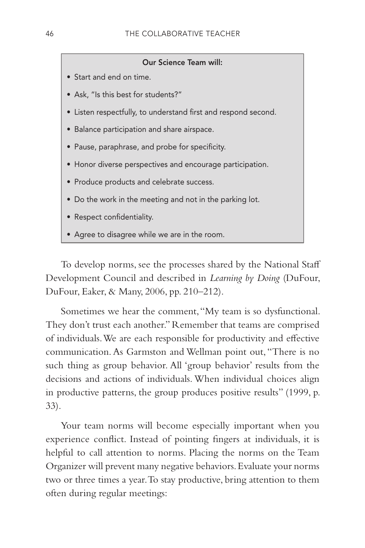#### Our Science Team will:

- Start and end on time.
- Ask, "Is this best for students?"
- Listen respectfully, to understand first and respond second.
- Balance participation and share airspace.
- Pause, paraphrase, and probe for specificity.
- Honor diverse perspectives and encourage participation.
- Produce products and celebrate success.
- Do the work in the meeting and not in the parking lot.
- Respect confidentiality.
- Agree to disagree while we are in the room.

To develop norms, see the processes shared by the National Staff Development Council and described in *Learning by Doing* (DuFour, DuFour, Eaker, & Many, 2006, pp. 210–212).

Sometimes we hear the comment, "My team is so dysfunctional. They don't trust each another." Remember that teams are comprised of individuals. We are each responsible for productivity and effective communication. As Garmston and Wellman point out, "There is no such thing as group behavior. All 'group behavior' results from the decisions and actions of individuals. When individual choices align in productive patterns, the group produces positive results" (1999, p. 33).

Your team norms will become especially important when you experience conflict. Instead of pointing fingers at individuals, it is helpful to call attention to norms. Placing the norms on the Team Organizer will prevent many negative behaviors. Evaluate your norms two or three times a year. To stay productive, bring attention to them often during regular meetings: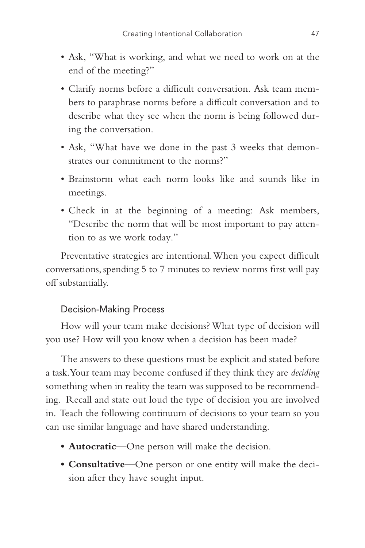- Ask, "What is working, and what we need to work on at the end of the meeting?"
- Clarify norms before a difficult conversation. Ask team members to paraphrase norms before a difficult conversation and to describe what they see when the norm is being followed during the conversation.
- Ask, "What have we done in the past 3 weeks that demonstrates our commitment to the norms?"
- Brainstorm what each norm looks like and sounds like in meetings.
- Check in at the beginning of a meeting: Ask members, "Describe the norm that will be most important to pay attention to as we work today."

Preventative strategies are intentional. When you expect difficult conversations, spending 5 to 7 minutes to review norms first will pay off substantially.

# Decision-Making Process

How will your team make decisions? What type of decision will you use? How will you know when a decision has been made?

The answers to these questions must be explicit and stated before a task. Your team may become confused if they think they are *deciding* something when in reality the team was supposed to be recommending. Recall and state out loud the type of decision you are involved in. Teach the following continuum of decisions to your team so you can use similar language and have shared understanding.

- **Autocratic**—One person will make the decision.
- **• Consultative**—One person or one entity will make the decision after they have sought input.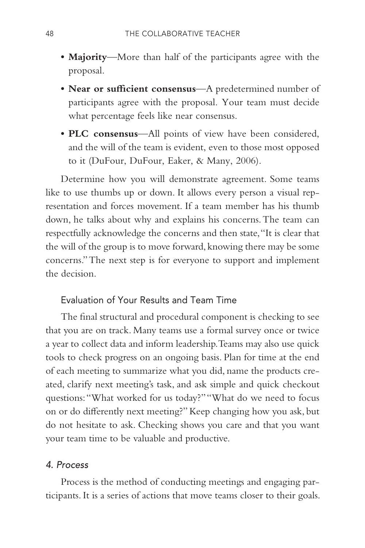- **• Majority**—More than half of the participants agree with the proposal.
- **• Near or sufficient consensus**—A predetermined number of participants agree with the proposal. Your team must decide what percentage feels like near consensus.
- **• PLC consensus**—All points of view have been considered, and the will of the team is evident, even to those most opposed to it (DuFour, DuFour, Eaker, & Many, 2006).

Determine how you will demonstrate agreement. Some teams like to use thumbs up or down. It allows every person a visual representation and forces movement. If a team member has his thumb down, he talks about why and explains his concerns. The team can respectfully acknowledge the concerns and then state, "It is clear that the will of the group is to move forward, knowing there may be some concerns." The next step is for everyone to support and implement the decision.

# Evaluation of Your Results and Team Time

The final structural and procedural component is checking to see that you are on track. Many teams use a formal survey once or twice a year to collect data and inform leadership. Teams may also use quick tools to check progress on an ongoing basis. Plan for time at the end of each meeting to summarize what you did, name the products created, clarify next meeting's task, and ask simple and quick checkout questions: "What worked for us today?" "What do we need to focus on or do differently next meeting?" Keep changing how you ask, but do not hesitate to ask. Checking shows you care and that you want your team time to be valuable and productive.

#### *4. Process*

Process is the method of conducting meetings and engaging participants. It is a series of actions that move teams closer to their goals.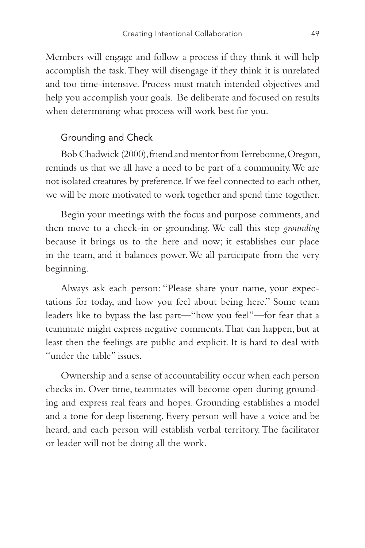Members will engage and follow a process if they think it will help accomplish the task. They will disengage if they think it is unrelated and too time-intensive. Process must match intended objectives and help you accomplish your goals. Be deliberate and focused on results when determining what process will work best for you.

# Grounding and Check

Bob Chadwick (2000), friend and mentor from Terrebonne, Oregon, reminds us that we all have a need to be part of a community. We are not isolated creatures by preference. If we feel connected to each other, we will be more motivated to work together and spend time together.

Begin your meetings with the focus and purpose comments, and then move to a check-in or grounding. We call this step *grounding* because it brings us to the here and now; it establishes our place in the team, and it balances power. We all participate from the very beginning.

Always ask each person: "Please share your name, your expectations for today, and how you feel about being here." Some team leaders like to bypass the last part—"how you feel"—for fear that a teammate might express negative comments. That can happen, but at least then the feelings are public and explicit. It is hard to deal with "under the table" issues.

Ownership and a sense of accountability occur when each person checks in. Over time, teammates will become open during grounding and express real fears and hopes. Grounding establishes a model and a tone for deep listening. Every person will have a voice and be heard, and each person will establish verbal territory. The facilitator or leader will not be doing all the work.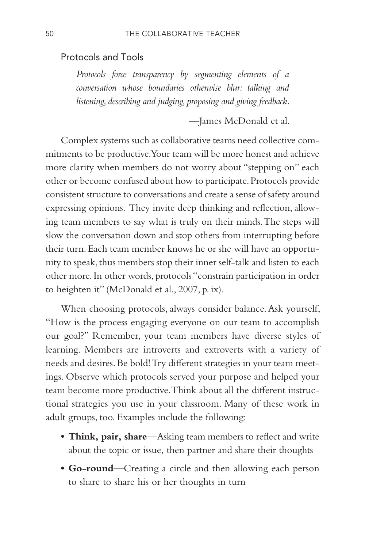# Protocols and Tools

*Protocols force transparency by segmenting elements of a conversation whose boundaries otherwise blur: talking and listening, describing and judging, proposing and giving feedback.*

—James McDonald et al.

Complex systems such as collaborative teams need collective commitments to be productive. Your team will be more honest and achieve more clarity when members do not worry about "stepping on" each other or become confused about how to participate. Protocols provide consistent structure to conversations and create a sense of safety around expressing opinions. They invite deep thinking and reflection, allowing team members to say what is truly on their minds. The steps will slow the conversation down and stop others from interrupting before their turn. Each team member knows he or she will have an opportunity to speak, thus members stop their inner self-talk and listen to each other more. In other words, protocols "constrain participation in order to heighten it" (McDonald et al., 2007, p. ix).

When choosing protocols, always consider balance. Ask yourself, "How is the process engaging everyone on our team to accomplish our goal?" Remember, your team members have diverse styles of learning. Members are introverts and extroverts with a variety of needs and desires. Be bold! Try different strategies in your team meetings. Observe which protocols served your purpose and helped your team become more productive. Think about all the different instructional strategies you use in your classroom. Many of these work in adult groups, too. Examples include the following:

- **• Think, pair, share**—Asking team members to reflect and write about the topic or issue, then partner and share their thoughts
- **• Go-round**—Creating a circle and then allowing each person to share to share his or her thoughts in turn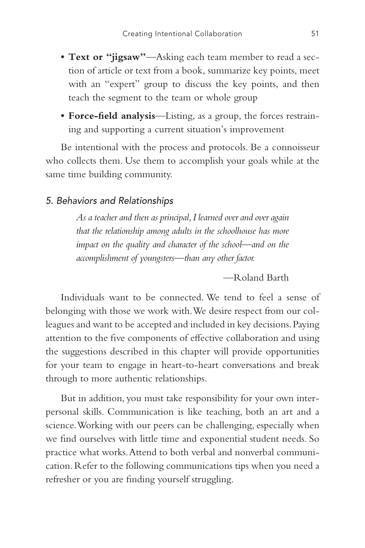- **• Text or "jigsaw"**—Asking each team member to read a section of article or text from a book, summarize key points, meet with an "expert" group to discuss the key points, and then teach the segment to the team or whole group
- **• Force-field analysis**—Listing, as a group, the forces restraining and supporting a current situation's improvement

Be intentional with the process and protocols. Be a connoisseur who collects them. Use them to accomplish your goals while at the same time building community.

#### *5. Behaviors and Relationships*

*As a teacher and then as principal, I learned over and over again that the relationship among adults in the schoolhouse has more impact on the quality and character of the school—and on the accomplishment of youngsters—than any other factor.*

—Roland Barth

Individuals want to be connected. We tend to feel a sense of belonging with those we work with. We desire respect from our colleagues and want to be accepted and included in key decisions. Paying attention to the five components of effective collaboration and using the suggestions described in this chapter will provide opportunities for your team to engage in heart-to-heart conversations and break through to more authentic relationships.

But in addition, you must take responsibility for your own interpersonal skills. Communication is like teaching, both an art and a science. Working with our peers can be challenging, especially when we find ourselves with little time and exponential student needs. So practice what works. Attend to both verbal and nonverbal communication. Refer to the following communications tips when you need a refresher or you are finding yourself struggling.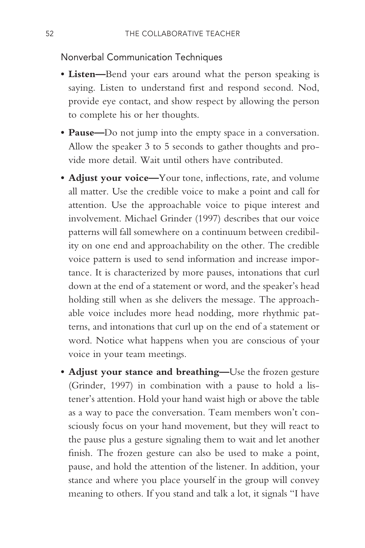# Nonverbal Communication Techniques

- **• Listen—**Bend your ears around what the person speaking is saying. Listen to understand first and respond second. Nod, provide eye contact, and show respect by allowing the person to complete his or her thoughts.
- **• Pause—**Do not jump into the empty space in a conversation. Allow the speaker 3 to 5 seconds to gather thoughts and provide more detail. Wait until others have contributed.
- **• Adjust your voice—**Your tone, inflections, rate, and volume all matter. Use the credible voice to make a point and call for attention. Use the approachable voice to pique interest and involvement. Michael Grinder (1997) describes that our voice patterns will fall somewhere on a continuum between credibility on one end and approachability on the other. The credible voice pattern is used to send information and increase importance. It is characterized by more pauses, intonations that curl down at the end of a statement or word, and the speaker's head holding still when as she delivers the message. The approachable voice includes more head nodding, more rhythmic patterns, and intonations that curl up on the end of a statement or word. Notice what happens when you are conscious of your voice in your team meetings.
- **• Adjust your stance and breathing—**Use the frozen gesture (Grinder, 1997) in combination with a pause to hold a listener's attention. Hold your hand waist high or above the table as a way to pace the conversation. Team members won't consciously focus on your hand movement, but they will react to the pause plus a gesture signaling them to wait and let another finish. The frozen gesture can also be used to make a point, pause, and hold the attention of the listener. In addition, your stance and where you place yourself in the group will convey meaning to others. If you stand and talk a lot, it signals "I have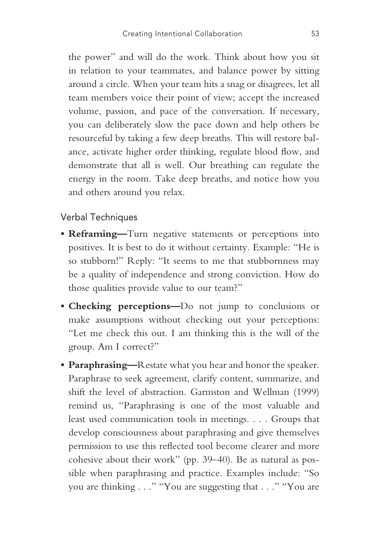the power" and will do the work. Think about how you sit in relation to your teammates, and balance power by sitting around a circle. When your team hits a snag or disagrees, let all team members voice their point of view; accept the increased volume, passion, and pace of the conversation. If necessary, you can deliberately slow the pace down and help others be resourceful by taking a few deep breaths. This will restore balance, activate higher order thinking, regulate blood flow, and demonstrate that all is well. Our breathing can regulate the energy in the room. Take deep breaths, and notice how you and others around you relax.

# Verbal Techniques

- **• Reframing—**Turn negative statements or perceptions into positives. It is best to do it without certainty. Example: "He is so stubborn!" Reply: "It seems to me that stubbornness may be a quality of independence and strong conviction. How do those qualities provide value to our team?"
- **• Checking perceptions—**Do not jump to conclusions or make assumptions without checking out your perceptions: "Let me check this out. I am thinking this is the will of the group. Am I correct?"
- **• Paraphrasing—**Restate what you hear and honor the speaker. Paraphrase to seek agreement, clarify content, summarize, and shift the level of abstraction. Garmston and Wellman (1999) remind us, "Paraphrasing is one of the most valuable and least used communication tools in meetings. . . . Groups that develop consciousness about paraphrasing and give themselves permission to use this reflected tool become clearer and more cohesive about their work" (pp. 39–40). Be as natural as possible when paraphrasing and practice. Examples include: "So you are thinking . . ." "You are suggesting that . . ." "You are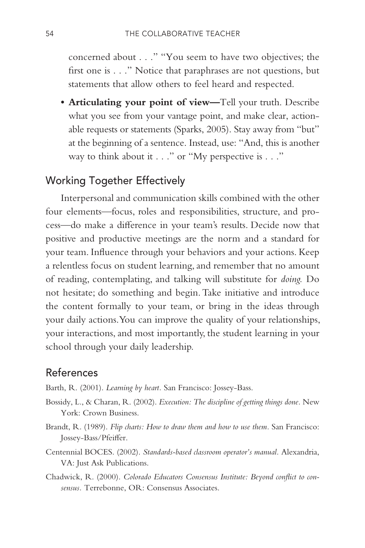concerned about . . ." "You seem to have two objectives; the first one is . . ." Notice that paraphrases are not questions, but statements that allow others to feel heard and respected.

**• Articulating your point of view—**Tell your truth. Describe what you see from your vantage point, and make clear, actionable requests or statements (Sparks, 2005). Stay away from "but" at the beginning of a sentence. Instead, use: "And, this is another way to think about it  $\ldots$ " or "My perspective is  $\ldots$ "

# Working Together Effectively

Interpersonal and communication skills combined with the other four elements—focus, roles and responsibilities, structure, and process—do make a difference in your team's results. Decide now that positive and productive meetings are the norm and a standard for your team. Influence through your behaviors and your actions. Keep a relentless focus on student learning, and remember that no amount of reading, contemplating, and talking will substitute for *doing.* Do not hesitate; do something and begin. Take initiative and introduce the content formally to your team, or bring in the ideas through your daily actions. You can improve the quality of your relationships, your interactions, and most importantly, the student learning in your school through your daily leadership.

# References

Barth, R. (2001). *Learning by heart.* San Francisco: Jossey-Bass.

- Bossidy, L., & Charan, R. (2002). *Execution: The discipline of getting things done.* New York: Crown Business.
- Brandt, R. (1989). *Flip charts: How to draw them and how to use them.* San Francisco: Jossey-Bass/Pfeiffer.
- Centennial BOCES. (2002). *Standards-based classroom operator's manual.* Alexandria, VA: Just Ask Publications.
- Chadwick, R. (2000). *Colorado Educators Consensus Institute: Beyond conflict to consensus.* Terrebonne, OR: Consensus Associates.